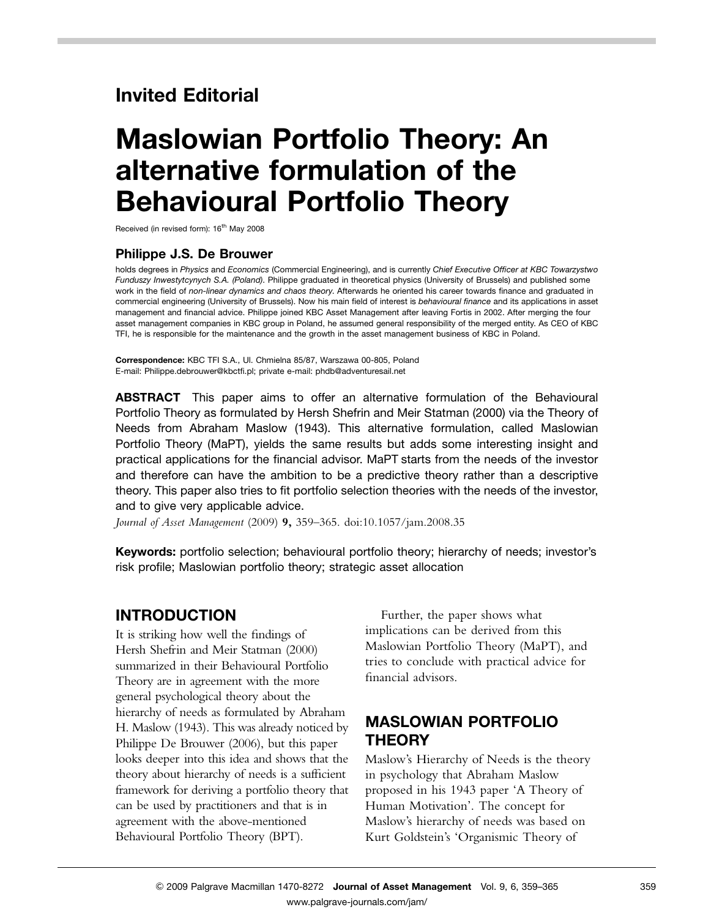## Invited Editorial

# Maslowian Portfolio Theory: An alternative formulation of the Behavioural Portfolio Theory

Received (in revised form): 16<sup>th</sup> May 2008

#### Philippe J.S. De Brouwer

holds degrees in Physics and Economics (Commercial Engineering), and is currently Chief Executive Officer at KBC Towarzystwo Funduszy Inwestytcynych S.A. (Poland). Philippe graduated in theoretical physics (University of Brussels) and published some work in the field of non-linear dynamics and chaos theory. Afterwards he oriented his career towards finance and graduated in commercial engineering (University of Brussels). Now his main field of interest is behavioural finance and its applications in asset management and financial advice. Philippe joined KBC Asset Management after leaving Fortis in 2002. After merging the four asset management companies in KBC group in Poland, he assumed general responsibility of the merged entity. As CEO of KBC TFI, he is responsible for the maintenance and the growth in the asset management business of KBC in Poland.

Correspondence: KBC TFI S.A., Ul. Chmielna 85/87, Warszawa 00-805, Poland E-mail: Philippe.debrouwer@kbctfi.pl; private e-mail: phdb@adventuresail.net

ABSTRACT This paper aims to offer an alternative formulation of the Behavioural Portfolio Theory as formulated by Hersh Shefrin and Meir Statman (2000) via the Theory of Needs from Abraham Maslow (1943). This alternative formulation, called Maslowian Portfolio Theory (MaPT), yields the same results but adds some interesting insight and practical applications for the financial advisor. MaPT starts from the needs of the investor and therefore can have the ambition to be a predictive theory rather than a descriptive theory. This paper also tries to fit portfolio selection theories with the needs of the investor, and to give very applicable advice.

Journal of Asset Management (2009) 9, 359–365. doi:10.1057/jam.2008.35

Keywords: portfolio selection; behavioural portfolio theory; hierarchy of needs; investor's risk profile; Maslowian portfolio theory; strategic asset allocation

## INTRODUCTION

It is striking how well the findings of Hersh Shefrin and Meir Statman (2000) summarized in their Behavioural Portfolio Theory are in agreement with the more general psychological theory about the hierarchy of needs as formulated by Abraham H. Maslow (1943). This was already noticed by Philippe De Brouwer (2006), but this paper looks deeper into this idea and shows that the theory about hierarchy of needs is a sufficient framework for deriving a portfolio theory that can be used by practitioners and that is in agreement with the above-mentioned Behavioural Portfolio Theory (BPT).

Further, the paper shows what implications can be derived from this Maslowian Portfolio Theory (MaPT), and tries to conclude with practical advice for financial advisors.

## MASLOWIAN PORTFOLIO **THEORY**

Maslow's Hierarchy of Needs is the theory in psychology that Abraham Maslow proposed in his 1943 paper 'A Theory of Human Motivation'. The concept for Maslow's hierarchy of needs was based on Kurt Goldstein's 'Organismic Theory of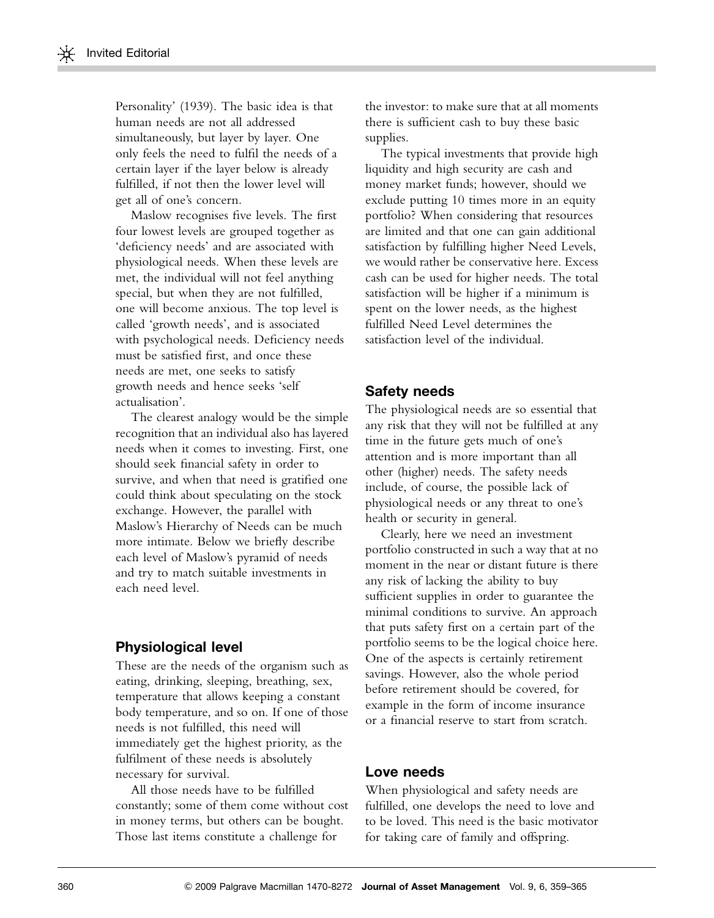Personality' (1939). The basic idea is that human needs are not all addressed simultaneously, but layer by layer. One only feels the need to fulfil the needs of a certain layer if the layer below is already fulfilled, if not then the lower level will get all of one's concern.

Maslow recognises five levels. The first four lowest levels are grouped together as 'deficiency needs' and are associated with physiological needs. When these levels are met, the individual will not feel anything special, but when they are not fulfilled, one will become anxious. The top level is called 'growth needs', and is associated with psychological needs. Deficiency needs must be satisfied first, and once these needs are met, one seeks to satisfy growth needs and hence seeks 'self actualisation'.

The clearest analogy would be the simple recognition that an individual also has layered needs when it comes to investing. First, one should seek financial safety in order to survive, and when that need is gratified one could think about speculating on the stock exchange. However, the parallel with Maslow's Hierarchy of Needs can be much more intimate. Below we briefly describe each level of Maslow's pyramid of needs and try to match suitable investments in each need level.

## Physiological level

These are the needs of the organism such as eating, drinking, sleeping, breathing, sex, temperature that allows keeping a constant body temperature, and so on. If one of those needs is not fulfilled, this need will immediately get the highest priority, as the fulfilment of these needs is absolutely necessary for survival.

All those needs have to be fulfilled constantly; some of them come without cost in money terms, but others can be bought. Those last items constitute a challenge for

the investor: to make sure that at all moments there is sufficient cash to buy these basic supplies.

The typical investments that provide high liquidity and high security are cash and money market funds; however, should we exclude putting 10 times more in an equity portfolio? When considering that resources are limited and that one can gain additional satisfaction by fulfilling higher Need Levels, we would rather be conservative here. Excess cash can be used for higher needs. The total satisfaction will be higher if a minimum is spent on the lower needs, as the highest fulfilled Need Level determines the satisfaction level of the individual.

## Safety needs

The physiological needs are so essential that any risk that they will not be fulfilled at any time in the future gets much of one's attention and is more important than all other (higher) needs. The safety needs include, of course, the possible lack of physiological needs or any threat to one's health or security in general.

Clearly, here we need an investment portfolio constructed in such a way that at no moment in the near or distant future is there any risk of lacking the ability to buy sufficient supplies in order to guarantee the minimal conditions to survive. An approach that puts safety first on a certain part of the portfolio seems to be the logical choice here. One of the aspects is certainly retirement savings. However, also the whole period before retirement should be covered, for example in the form of income insurance or a financial reserve to start from scratch.

## Love needs

When physiological and safety needs are fulfilled, one develops the need to love and to be loved. This need is the basic motivator for taking care of family and offspring.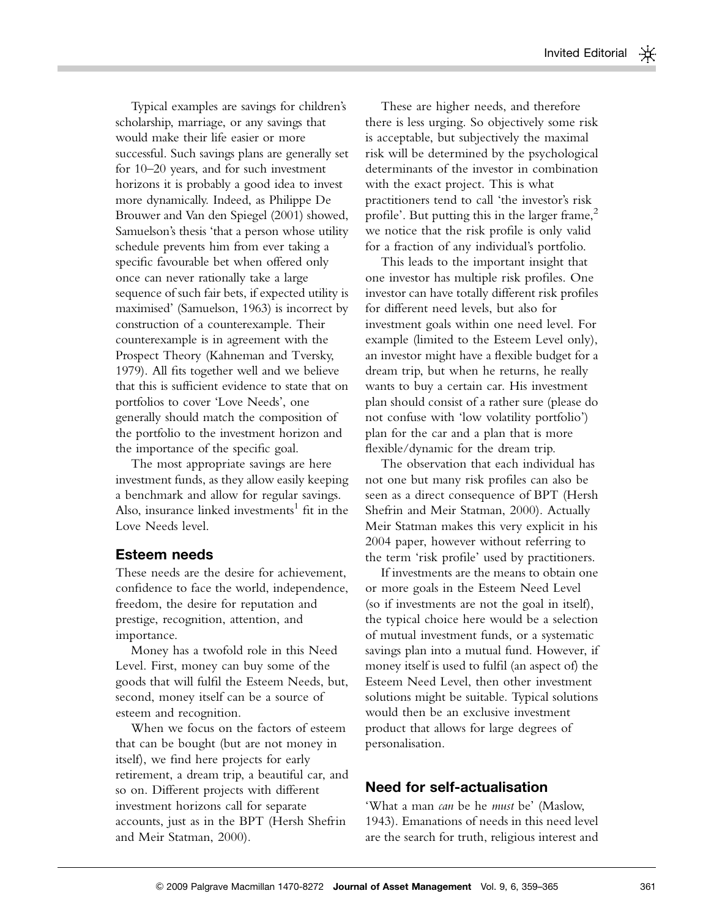Typical examples are savings for children's scholarship, marriage, or any savings that would make their life easier or more successful. Such savings plans are generally set for 10–20 years, and for such investment horizons it is probably a good idea to invest more dynamically. Indeed, as Philippe De Brouwer and Van den Spiegel (2001) showed, Samuelson's thesis 'that a person whose utility schedule prevents him from ever taking a specific favourable bet when offered only once can never rationally take a large sequence of such fair bets, if expected utility is maximised' (Samuelson, 1963) is incorrect by construction of a counterexample. Their counterexample is in agreement with the Prospect Theory (Kahneman and Tversky, 1979). All fits together well and we believe that this is sufficient evidence to state that on portfolios to cover 'Love Needs', one generally should match the composition of the portfolio to the investment horizon and the importance of the specific goal.

The most appropriate savings are here investment funds, as they allow easily keeping a benchmark and allow for regular savings. Also, insurance linked investments<sup>1</sup> fit in the Love Needs level.

#### Esteem needs

These needs are the desire for achievement, confidence to face the world, independence, freedom, the desire for reputation and prestige, recognition, attention, and importance.

Money has a twofold role in this Need Level. First, money can buy some of the goods that will fulfil the Esteem Needs, but, second, money itself can be a source of esteem and recognition.

When we focus on the factors of esteem that can be bought (but are not money in itself), we find here projects for early retirement, a dream trip, a beautiful car, and so on. Different projects with different investment horizons call for separate accounts, just as in the BPT (Hersh Shefrin and Meir Statman, 2000).

These are higher needs, and therefore there is less urging. So objectively some risk is acceptable, but subjectively the maximal risk will be determined by the psychological determinants of the investor in combination with the exact project. This is what practitioners tend to call 'the investor's risk profile'. But putting this in the larger frame, $<sup>2</sup>$ </sup> we notice that the risk profile is only valid for a fraction of any individual's portfolio.

This leads to the important insight that one investor has multiple risk profiles. One investor can have totally different risk profiles for different need levels, but also for investment goals within one need level. For example (limited to the Esteem Level only), an investor might have a flexible budget for a dream trip, but when he returns, he really wants to buy a certain car. His investment plan should consist of a rather sure (please do not confuse with 'low volatility portfolio') plan for the car and a plan that is more flexible/dynamic for the dream trip.

The observation that each individual has not one but many risk profiles can also be seen as a direct consequence of BPT (Hersh Shefrin and Meir Statman, 2000). Actually Meir Statman makes this very explicit in his 2004 paper, however without referring to the term 'risk profile' used by practitioners.

If investments are the means to obtain one or more goals in the Esteem Need Level (so if investments are not the goal in itself), the typical choice here would be a selection of mutual investment funds, or a systematic savings plan into a mutual fund. However, if money itself is used to fulfil (an aspect of) the Esteem Need Level, then other investment solutions might be suitable. Typical solutions would then be an exclusive investment product that allows for large degrees of personalisation.

## Need for self-actualisation

'What a man can be he must be' (Maslow, 1943). Emanations of needs in this need level are the search for truth, religious interest and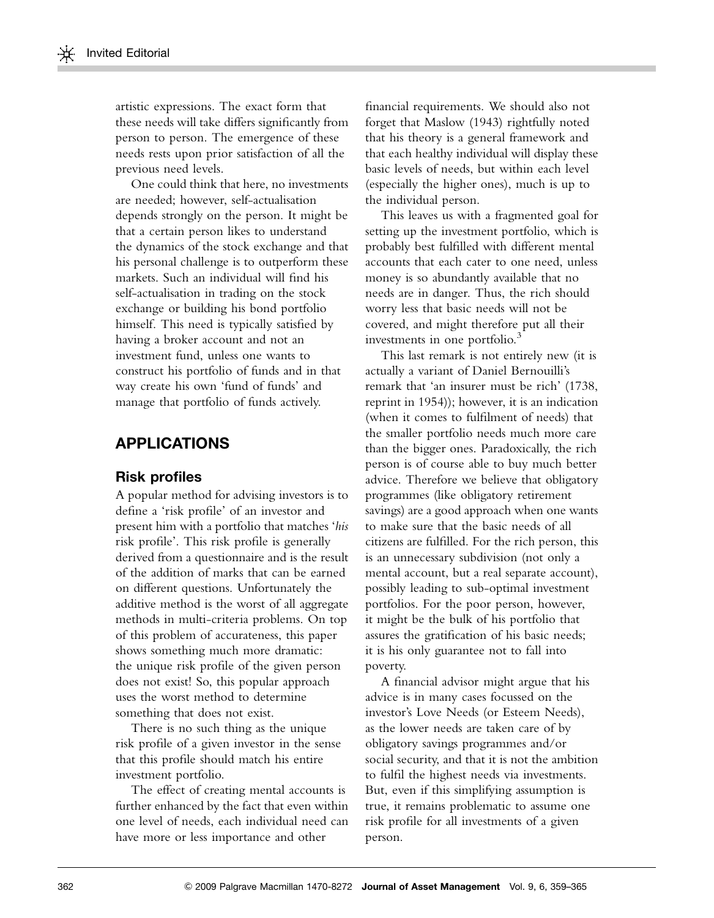artistic expressions. The exact form that these needs will take differs significantly from person to person. The emergence of these needs rests upon prior satisfaction of all the previous need levels.

One could think that here, no investments are needed; however, self-actualisation depends strongly on the person. It might be that a certain person likes to understand the dynamics of the stock exchange and that his personal challenge is to outperform these markets. Such an individual will find his self-actualisation in trading on the stock exchange or building his bond portfolio himself. This need is typically satisfied by having a broker account and not an investment fund, unless one wants to construct his portfolio of funds and in that way create his own 'fund of funds' and manage that portfolio of funds actively.

## APPLICATIONS

## Risk profiles

A popular method for advising investors is to define a 'risk profile' of an investor and present him with a portfolio that matches 'his risk profile'. This risk profile is generally derived from a questionnaire and is the result of the addition of marks that can be earned on different questions. Unfortunately the additive method is the worst of all aggregate methods in multi-criteria problems. On top of this problem of accurateness, this paper shows something much more dramatic: the unique risk profile of the given person does not exist! So, this popular approach uses the worst method to determine something that does not exist.

There is no such thing as the unique risk profile of a given investor in the sense that this profile should match his entire investment portfolio.

The effect of creating mental accounts is further enhanced by the fact that even within one level of needs, each individual need can have more or less importance and other

financial requirements. We should also not forget that Maslow (1943) rightfully noted that his theory is a general framework and that each healthy individual will display these basic levels of needs, but within each level (especially the higher ones), much is up to the individual person.

This leaves us with a fragmented goal for setting up the investment portfolio, which is probably best fulfilled with different mental accounts that each cater to one need, unless money is so abundantly available that no needs are in danger. Thus, the rich should worry less that basic needs will not be covered, and might therefore put all their investments in one portfolio.<sup>3</sup>

This last remark is not entirely new (it is actually a variant of Daniel Bernouilli's remark that 'an insurer must be rich' (1738, reprint in 1954)); however, it is an indication (when it comes to fulfilment of needs) that the smaller portfolio needs much more care than the bigger ones. Paradoxically, the rich person is of course able to buy much better advice. Therefore we believe that obligatory programmes (like obligatory retirement savings) are a good approach when one wants to make sure that the basic needs of all citizens are fulfilled. For the rich person, this is an unnecessary subdivision (not only a mental account, but a real separate account), possibly leading to sub-optimal investment portfolios. For the poor person, however, it might be the bulk of his portfolio that assures the gratification of his basic needs; it is his only guarantee not to fall into poverty.

A financial advisor might argue that his advice is in many cases focussed on the investor's Love Needs (or Esteem Needs), as the lower needs are taken care of by obligatory savings programmes and/or social security, and that it is not the ambition to fulfil the highest needs via investments. But, even if this simplifying assumption is true, it remains problematic to assume one risk profile for all investments of a given person.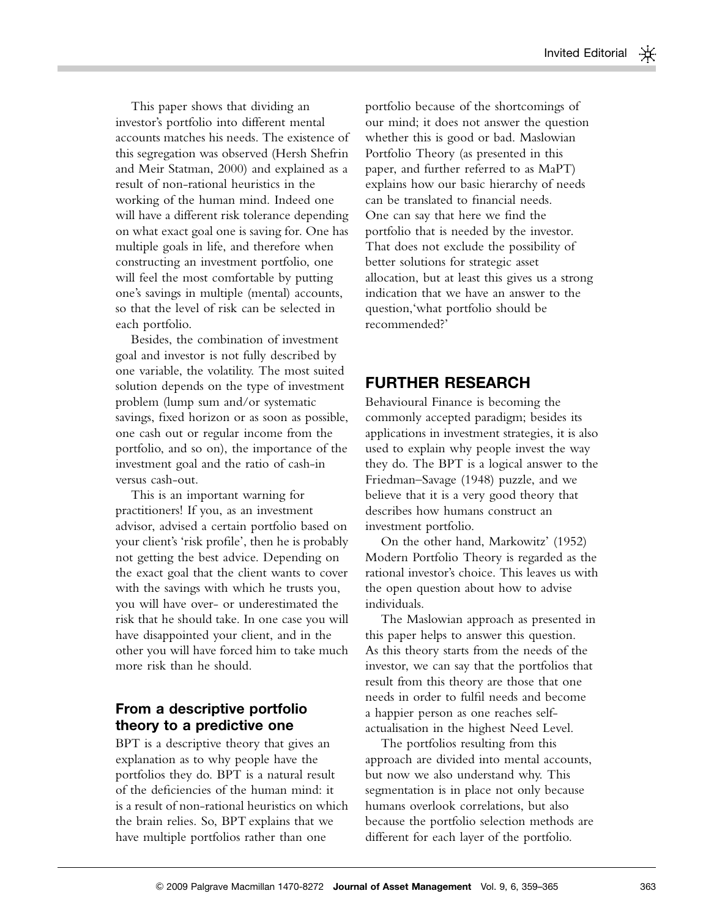This paper shows that dividing an investor's portfolio into different mental accounts matches his needs. The existence of this segregation was observed (Hersh Shefrin and Meir Statman, 2000) and explained as a result of non-rational heuristics in the working of the human mind. Indeed one will have a different risk tolerance depending on what exact goal one is saving for. One has multiple goals in life, and therefore when constructing an investment portfolio, one will feel the most comfortable by putting one's savings in multiple (mental) accounts, so that the level of risk can be selected in each portfolio.

Besides, the combination of investment goal and investor is not fully described by one variable, the volatility. The most suited solution depends on the type of investment problem (lump sum and/or systematic savings, fixed horizon or as soon as possible, one cash out or regular income from the portfolio, and so on), the importance of the investment goal and the ratio of cash-in versus cash-out.

This is an important warning for practitioners! If you, as an investment advisor, advised a certain portfolio based on your client's 'risk profile', then he is probably not getting the best advice. Depending on the exact goal that the client wants to cover with the savings with which he trusts you, you will have over- or underestimated the risk that he should take. In one case you will have disappointed your client, and in the other you will have forced him to take much more risk than he should.

## From a descriptive portfolio theory to a predictive one

BPT is a descriptive theory that gives an explanation as to why people have the portfolios they do. BPT is a natural result of the deficiencies of the human mind: it is a result of non-rational heuristics on which the brain relies. So, BPT explains that we have multiple portfolios rather than one

portfolio because of the shortcomings of our mind; it does not answer the question whether this is good or bad. Maslowian Portfolio Theory (as presented in this paper, and further referred to as MaPT) explains how our basic hierarchy of needs can be translated to financial needs. One can say that here we find the portfolio that is needed by the investor. That does not exclude the possibility of better solutions for strategic asset allocation, but at least this gives us a strong indication that we have an answer to the question,'what portfolio should be recommended?'

## FURTHER RESEARCH

Behavioural Finance is becoming the commonly accepted paradigm; besides its applications in investment strategies, it is also used to explain why people invest the way they do. The BPT is a logical answer to the Friedman–Savage (1948) puzzle, and we believe that it is a very good theory that describes how humans construct an investment portfolio.

On the other hand, Markowitz' (1952) Modern Portfolio Theory is regarded as the rational investor's choice. This leaves us with the open question about how to advise individuals.

The Maslowian approach as presented in this paper helps to answer this question. As this theory starts from the needs of the investor, we can say that the portfolios that result from this theory are those that one needs in order to fulfil needs and become a happier person as one reaches selfactualisation in the highest Need Level.

The portfolios resulting from this approach are divided into mental accounts, but now we also understand why. This segmentation is in place not only because humans overlook correlations, but also because the portfolio selection methods are different for each layer of the portfolio.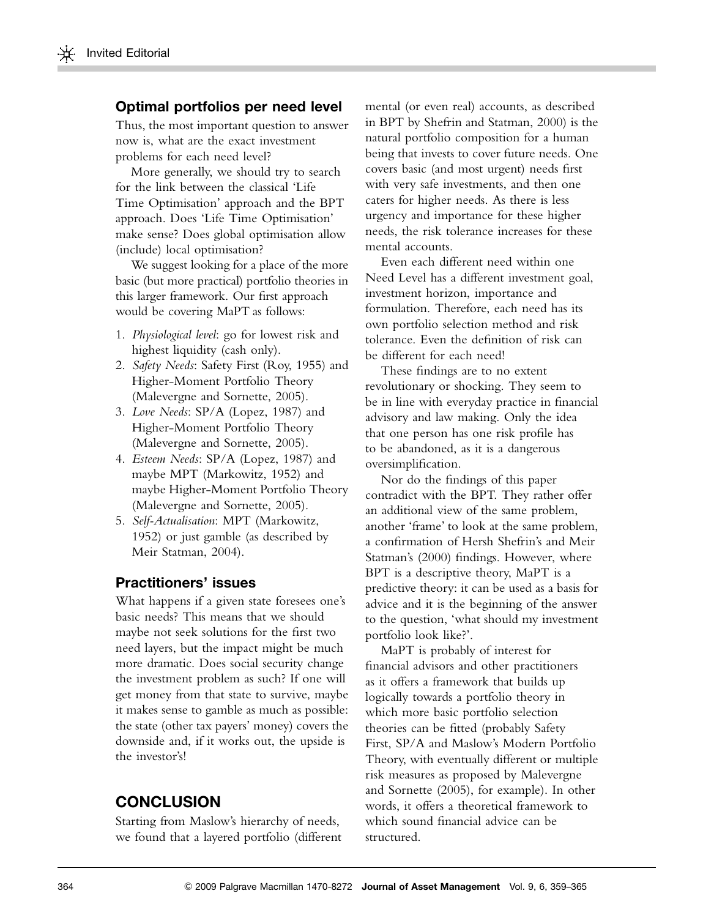#### Optimal portfolios per need level

Thus, the most important question to answer now is, what are the exact investment problems for each need level?

More generally, we should try to search for the link between the classical 'Life Time Optimisation' approach and the BPT approach. Does 'Life Time Optimisation' make sense? Does global optimisation allow (include) local optimisation?

We suggest looking for a place of the more basic (but more practical) portfolio theories in this larger framework. Our first approach would be covering MaPT as follows:

- 1. Physiological level: go for lowest risk and highest liquidity (cash only).
- 2. Safety Needs: Safety First (Roy, 1955) and Higher-Moment Portfolio Theory (Malevergne and Sornette, 2005).
- 3. Love Needs: SP/A (Lopez, 1987) and Higher-Moment Portfolio Theory (Malevergne and Sornette, 2005).
- 4. Esteem Needs: SP/A (Lopez, 1987) and maybe MPT (Markowitz, 1952) and maybe Higher-Moment Portfolio Theory (Malevergne and Sornette, 2005).
- 5. Self-Actualisation: MPT (Markowitz, 1952) or just gamble (as described by Meir Statman, 2004).

#### Practitioners' issues

What happens if a given state foresees one's basic needs? This means that we should maybe not seek solutions for the first two need layers, but the impact might be much more dramatic. Does social security change the investment problem as such? If one will get money from that state to survive, maybe it makes sense to gamble as much as possible: the state (other tax payers' money) covers the downside and, if it works out, the upside is the investor's!

#### **CONCLUSION**

Starting from Maslow's hierarchy of needs, we found that a layered portfolio (different mental (or even real) accounts, as described in BPT by Shefrin and Statman, 2000) is the natural portfolio composition for a human being that invests to cover future needs. One covers basic (and most urgent) needs first with very safe investments, and then one caters for higher needs. As there is less urgency and importance for these higher needs, the risk tolerance increases for these mental accounts.

Even each different need within one Need Level has a different investment goal, investment horizon, importance and formulation. Therefore, each need has its own portfolio selection method and risk tolerance. Even the definition of risk can be different for each need!

These findings are to no extent revolutionary or shocking. They seem to be in line with everyday practice in financial advisory and law making. Only the idea that one person has one risk profile has to be abandoned, as it is a dangerous oversimplification.

Nor do the findings of this paper contradict with the BPT. They rather offer an additional view of the same problem, another 'frame' to look at the same problem, a confirmation of Hersh Shefrin's and Meir Statman's (2000) findings. However, where BPT is a descriptive theory, MaPT is a predictive theory: it can be used as a basis for advice and it is the beginning of the answer to the question, 'what should my investment portfolio look like?'.

MaPT is probably of interest for financial advisors and other practitioners as it offers a framework that builds up logically towards a portfolio theory in which more basic portfolio selection theories can be fitted (probably Safety First, SP/A and Maslow's Modern Portfolio Theory, with eventually different or multiple risk measures as proposed by Malevergne and Sornette (2005), for example). In other words, it offers a theoretical framework to which sound financial advice can be structured.